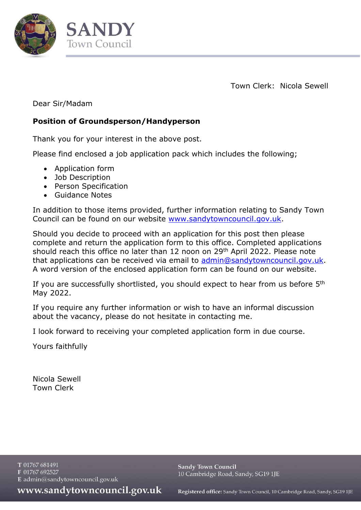

**SANDY Town Council** 

Town Clerk: Nicola Sewell

Dear Sir/Madam

# **Position of Groundsperson/Handyperson**

Thank you for your interest in the above post.

Please find enclosed a job application pack which includes the following;

- Application form
- Job Description
- Person Specification
- Guidance Notes

In addition to those items provided, further information relating to Sandy Town Council can be found on our website [www.sandytowncouncil.gov.uk.](http://www.sandytowncouncil.gov.uk/)

Should you decide to proceed with an application for this post then please complete and return the application form to this office. Completed applications should reach this office no later than 12 noon on 29<sup>th</sup> April 2022. Please note that applications can be received via email to [admin@sandytowncouncil.gov.uk.](mailto:admin@sandytowncouncil.gov.uk) A word version of the enclosed application form can be found on our website.

If you are successfully shortlisted, you should expect to hear from us before 5<sup>th</sup> May 2022.

If you require any further information or wish to have an informal discussion about the vacancy, please do not hesitate in contacting me.

I look forward to receiving your completed application form in due course.

Yours faithfully

Nicola Sewell Town Clerk

T 01767 681491 F 01767 692527 E admin@sandytowncouncil.gov.uk

**Sandy Town Council** 10 Cambridge Road, Sandy, SG19 1JE

www.sandytowncouncil.gov.uk

Registered office: Sandy Town Council, 10 Cambridge Road, Sandy, SG19 1JE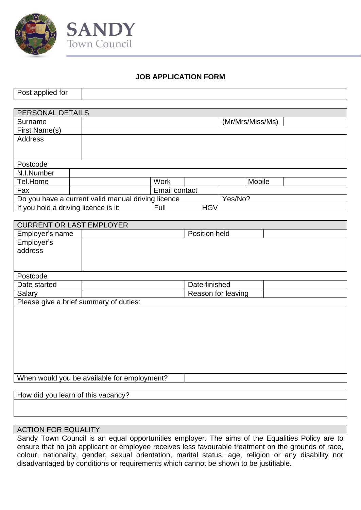



# **JOB APPLICATION FORM**

| Post applied for                     |                                                    |               |            |                  |
|--------------------------------------|----------------------------------------------------|---------------|------------|------------------|
|                                      |                                                    |               |            |                  |
| PERSONAL DETAILS                     |                                                    |               |            |                  |
| Surname                              |                                                    |               |            | (Mr/Mrs/Miss/Ms) |
| First Name(s)                        |                                                    |               |            |                  |
| <b>Address</b>                       |                                                    |               |            |                  |
|                                      |                                                    |               |            |                  |
|                                      |                                                    |               |            |                  |
| Postcode                             |                                                    |               |            |                  |
| N.I.Number                           |                                                    |               |            |                  |
| Tel.Home                             |                                                    | <b>Work</b>   |            | Mobile           |
| Fax                                  |                                                    | Email contact |            |                  |
|                                      | Do you have a current valid manual driving licence |               |            | Yes/No?          |
| If you hold a driving licence is it: |                                                    | Full          | <b>HGV</b> |                  |
|                                      |                                                    |               |            |                  |

| <b>CURRENT OR LAST EMPLOYER</b>             |  |
|---------------------------------------------|--|
| Employer's name<br>Position held            |  |
| Employer's                                  |  |
| address                                     |  |
|                                             |  |
|                                             |  |
| Postcode                                    |  |
| Date finished<br>Date started               |  |
| Reason for leaving<br>Salary                |  |
| Please give a brief summary of duties:      |  |
|                                             |  |
|                                             |  |
|                                             |  |
|                                             |  |
|                                             |  |
|                                             |  |
|                                             |  |
|                                             |  |
| When would you be available for employment? |  |

How did you learn of this vacancy?

#### ACTION FOR EQUALITY

Sandy Town Council is an equal opportunities employer. The aims of the Equalities Policy are to ensure that no job applicant or employee receives less favourable treatment on the grounds of race, colour, nationality, gender, sexual orientation, marital status, age, religion or any disability nor disadvantaged by conditions or requirements which cannot be shown to be justifiable.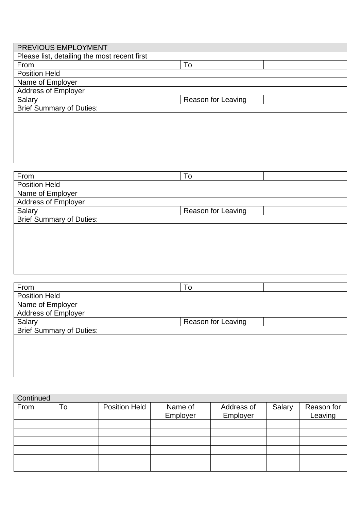| PREVIOUS EMPLOYMENT                          |                    |
|----------------------------------------------|--------------------|
| Please list, detailing the most recent first |                    |
| From                                         | To                 |
| <b>Position Held</b>                         |                    |
| Name of Employer                             |                    |
| <b>Address of Employer</b>                   |                    |
| Salary                                       | Reason for Leaving |
| <b>Brief Summary of Duties:</b>              |                    |
|                                              |                    |
|                                              |                    |
|                                              |                    |
|                                              |                    |
|                                              |                    |

| To                 |  |
|--------------------|--|
|                    |  |
|                    |  |
|                    |  |
| Reason for Leaving |  |
|                    |  |
|                    |  |
|                    |  |
|                    |  |

| From                            | To                        |
|---------------------------------|---------------------------|
| <b>Position Held</b>            |                           |
| Name of Employer                |                           |
| <b>Address of Employer</b>      |                           |
| Salary                          | <b>Reason for Leaving</b> |
| <b>Brief Summary of Duties:</b> |                           |
|                                 |                           |
|                                 |                           |
|                                 |                           |
|                                 |                           |
|                                 |                           |

| Continued |    |                      |                     |                        |        |                       |
|-----------|----|----------------------|---------------------|------------------------|--------|-----------------------|
| From      | To | <b>Position Held</b> | Name of<br>Employer | Address of<br>Employer | Salary | Reason for<br>Leaving |
|           |    |                      |                     |                        |        |                       |
|           |    |                      |                     |                        |        |                       |
|           |    |                      |                     |                        |        |                       |
|           |    |                      |                     |                        |        |                       |
|           |    |                      |                     |                        |        |                       |
|           |    |                      |                     |                        |        |                       |
|           |    |                      |                     |                        |        |                       |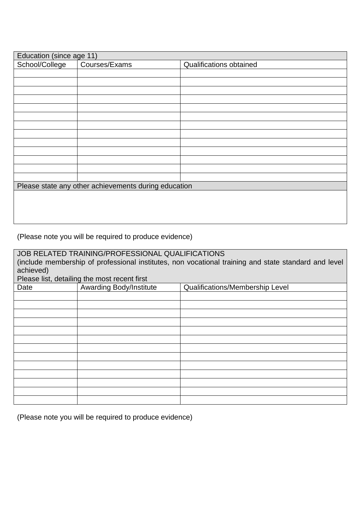| Education (since age 11) |                                                      |                                |
|--------------------------|------------------------------------------------------|--------------------------------|
| School/College           | Courses/Exams                                        | <b>Qualifications obtained</b> |
|                          |                                                      |                                |
|                          |                                                      |                                |
|                          |                                                      |                                |
|                          |                                                      |                                |
|                          |                                                      |                                |
|                          |                                                      |                                |
|                          |                                                      |                                |
|                          |                                                      |                                |
|                          |                                                      |                                |
|                          |                                                      |                                |
|                          |                                                      |                                |
|                          |                                                      |                                |
|                          |                                                      |                                |
|                          | Please state any other achievements during education |                                |
|                          |                                                      |                                |
|                          |                                                      |                                |
|                          |                                                      |                                |
|                          |                                                      |                                |

(Please note you will be required to produce evidence)

JOB RELATED TRAINING/PROFESSIONAL QUALIFICATIONS (include membership of professional institutes, non vocational training and state standard and level achieved)

Please list, detailing the most recent first

| Date | <b>Awarding Body/Institute</b> | Qualifications/Membership Level |
|------|--------------------------------|---------------------------------|
|      |                                |                                 |
|      |                                |                                 |
|      |                                |                                 |
|      |                                |                                 |
|      |                                |                                 |
|      |                                |                                 |
|      |                                |                                 |
|      |                                |                                 |
|      |                                |                                 |
|      |                                |                                 |
|      |                                |                                 |
|      |                                |                                 |
|      |                                |                                 |

(Please note you will be required to produce evidence)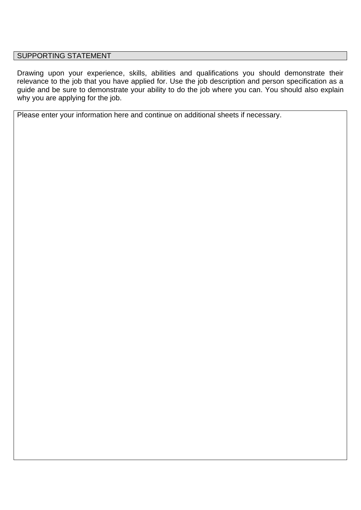#### SUPPORTING STATEMENT

Drawing upon your experience, skills, abilities and qualifications you should demonstrate their relevance to the job that you have applied for. Use the job description and person specification as a guide and be sure to demonstrate your ability to do the job where you can. You should also explain why you are applying for the job.

Please enter your information here and continue on additional sheets if necessary.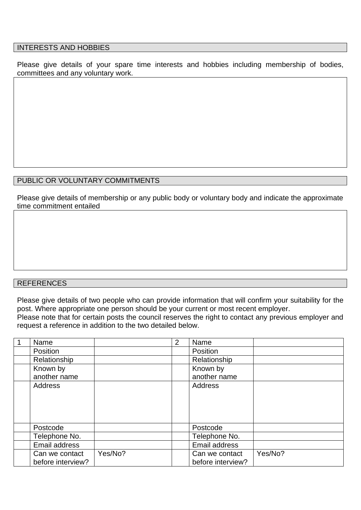#### INTERESTS AND HOBBIES

Please give details of your spare time interests and hobbies including membership of bodies, committees and any voluntary work.

#### PUBLIC OR VOLUNTARY COMMITMENTS

Please give details of membership or any public body or voluntary body and indicate the approximate time commitment entailed

#### REFERENCES

Please give details of two people who can provide information that will confirm your suitability for the post. Where appropriate one person should be your current or most recent employer.

Please note that for certain posts the council reserves the right to contact any previous employer and request a reference in addition to the two detailed below.

| Name              |         | 2 | Name              |         |
|-------------------|---------|---|-------------------|---------|
| Position          |         |   | Position          |         |
| Relationship      |         |   | Relationship      |         |
| Known by          |         |   | Known by          |         |
| another name      |         |   | another name      |         |
| <b>Address</b>    |         |   | Address           |         |
|                   |         |   |                   |         |
|                   |         |   |                   |         |
|                   |         |   |                   |         |
|                   |         |   |                   |         |
| Postcode          |         |   | Postcode          |         |
| Telephone No.     |         |   | Telephone No.     |         |
| Email address     |         |   | Email address     |         |
| Can we contact    | Yes/No? |   | Can we contact    | Yes/No? |
| before interview? |         |   | before interview? |         |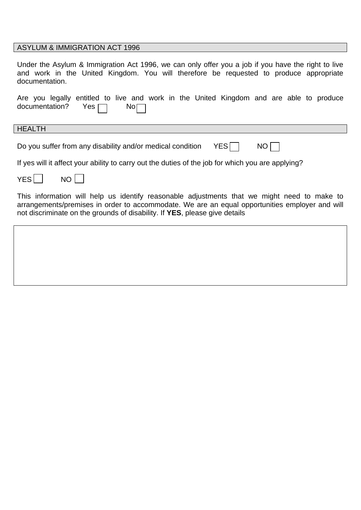#### ASYLUM & IMMIGRATION ACT 1996

Under the Asylum & Immigration Act 1996, we can only offer you a job if you have the right to live and work in the United Kingdom. You will therefore be requested to produce appropriate documentation.

|  |                                     |  |  |  | Are you legally entitled to live and work in the United Kingdom and are able to produce |  |  |  |
|--|-------------------------------------|--|--|--|-----------------------------------------------------------------------------------------|--|--|--|
|  | documentation? Yes $\Box$ No $\Box$ |  |  |  |                                                                                         |  |  |  |

HEALTH

Do you suffer from any disability and/or medical condition  $YES \nightharpoonup NO \nightharpoonup$ 

If yes will it affect your ability to carry out the duties of the job for which you are applying?

| റ<br>E5 |  | NΟ |
|---------|--|----|
|---------|--|----|

This information will help us identify reasonable adjustments that we might need to make to arrangements/premises in order to accommodate. We are an equal opportunities employer and will not discriminate on the grounds of disability. If **YES**, please give details

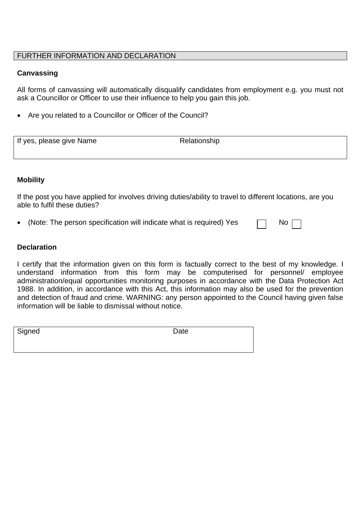#### FURTHER INFORMATION AND DECLARATION

#### **Canvassing**

All forms of canvassing will automatically disqualify candidates from employment e.g. you must not ask a Councillor or Officer to use their influence to help you gain this job.

Are you related to a Councillor or Officer of the Council?

| If yes, please give Name | Relationship |  |
|--------------------------|--------------|--|

#### **Mobility**

If the post you have applied for involves driving duties/ability to travel to different locations, are you able to fulfil these duties?

(Note: The person specification will indicate what is required) Yes  $\Box$  No

#### **Declaration**

I certify that the information given on this form is factually correct to the best of my knowledge. I understand information from this form may be computerised for personnel/ employee administration/equal opportunities monitoring purposes in accordance with the Data Protection Act 1988. In addition, in accordance with this Act, this information may also be used for the prevention and detection of fraud and crime. WARNING: any person appointed to the Council having given false information will be liable to dismissal without notice.

| Signed | Date |  |
|--------|------|--|
|        |      |  |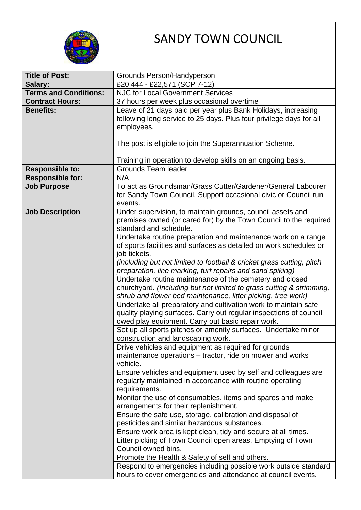

# SANDY TOWN COUNCIL

| <b>Title of Post:</b>        |                                                                                                                                       |  |  |
|------------------------------|---------------------------------------------------------------------------------------------------------------------------------------|--|--|
| Salary:                      | Grounds Person/Handyperson<br>£20,444 - £22,571 (SCP 7-12)                                                                            |  |  |
| <b>Terms and Conditions:</b> | <b>NJC for Local Government Services</b>                                                                                              |  |  |
| <b>Contract Hours:</b>       | 37 hours per week plus occasional overtime                                                                                            |  |  |
| <b>Benefits:</b>             | Leave of 21 days paid per year plus Bank Holidays, increasing                                                                         |  |  |
|                              | following long service to 25 days. Plus four privilege days for all                                                                   |  |  |
|                              | employees.                                                                                                                            |  |  |
|                              |                                                                                                                                       |  |  |
|                              | The post is eligible to join the Superannuation Scheme.                                                                               |  |  |
|                              |                                                                                                                                       |  |  |
|                              | Training in operation to develop skills on an ongoing basis.                                                                          |  |  |
| <b>Responsible to:</b>       | <b>Grounds Team leader</b>                                                                                                            |  |  |
| <b>Responsible for:</b>      | N/A                                                                                                                                   |  |  |
| <b>Job Purpose</b>           | To act as Groundsman/Grass Cutter/Gardener/General Labourer                                                                           |  |  |
|                              | for Sandy Town Council. Support occasional civic or Council run                                                                       |  |  |
|                              | events.                                                                                                                               |  |  |
| <b>Job Description</b>       | Under supervision, to maintain grounds, council assets and                                                                            |  |  |
|                              | premises owned (or cared for) by the Town Council to the required                                                                     |  |  |
|                              | standard and schedule.                                                                                                                |  |  |
|                              | Undertake routine preparation and maintenance work on a range                                                                         |  |  |
|                              | of sports facilities and surfaces as detailed on work schedules or                                                                    |  |  |
|                              | job tickets.                                                                                                                          |  |  |
|                              | (including but not limited to football & cricket grass cutting, pitch                                                                 |  |  |
|                              | preparation, line marking, turf repairs and sand spiking)                                                                             |  |  |
|                              | Undertake routine maintenance of the cemetery and closed                                                                              |  |  |
|                              | churchyard. (Including but not limited to grass cutting & strimming,                                                                  |  |  |
|                              | shrub and flower bed maintenance, litter picking, tree work)                                                                          |  |  |
|                              | Undertake all preparatory and cultivation work to maintain safe<br>quality playing surfaces. Carry out regular inspections of council |  |  |
|                              | owed play equipment. Carry out basic repair work.                                                                                     |  |  |
|                              | Set up all sports pitches or amenity surfaces. Undertake minor                                                                        |  |  |
|                              | construction and landscaping work.                                                                                                    |  |  |
|                              | Drive vehicles and equipment as required for grounds                                                                                  |  |  |
|                              | maintenance operations – tractor, ride on mower and works                                                                             |  |  |
|                              | vehicle.                                                                                                                              |  |  |
|                              | Ensure vehicles and equipment used by self and colleagues are                                                                         |  |  |
|                              | regularly maintained in accordance with routine operating                                                                             |  |  |
|                              | requirements.                                                                                                                         |  |  |
|                              | Monitor the use of consumables, items and spares and make                                                                             |  |  |
|                              | arrangements for their replenishment.                                                                                                 |  |  |
|                              | Ensure the safe use, storage, calibration and disposal of                                                                             |  |  |
|                              | pesticides and similar hazardous substances.                                                                                          |  |  |
|                              | Ensure work area is kept clean, tidy and secure at all times.                                                                         |  |  |
|                              | Litter picking of Town Council open areas. Emptying of Town                                                                           |  |  |
|                              | Council owned bins.                                                                                                                   |  |  |
|                              | Promote the Health & Safety of self and others.                                                                                       |  |  |
|                              | Respond to emergencies including possible work outside standard                                                                       |  |  |
|                              | hours to cover emergencies and attendance at council events.                                                                          |  |  |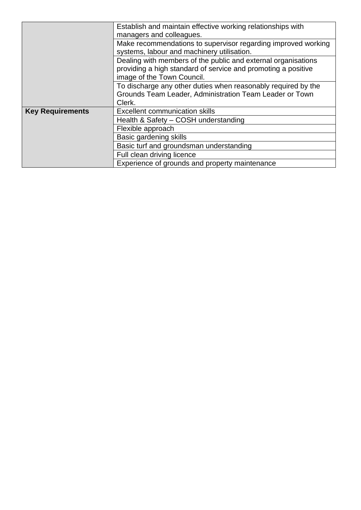|                         | Establish and maintain effective working relationships with   |  |
|-------------------------|---------------------------------------------------------------|--|
|                         | managers and colleagues.                                      |  |
|                         | Make recommendations to supervisor regarding improved working |  |
|                         | systems, labour and machinery utilisation.                    |  |
|                         | Dealing with members of the public and external organisations |  |
|                         | providing a high standard of service and promoting a positive |  |
|                         | image of the Town Council.                                    |  |
|                         | To discharge any other duties when reasonably required by the |  |
|                         | Grounds Team Leader, Administration Team Leader or Town       |  |
|                         | Clerk.                                                        |  |
| <b>Key Requirements</b> | <b>Excellent communication skills</b>                         |  |
|                         | Health & Safety - COSH understanding                          |  |
|                         | Flexible approach                                             |  |
|                         | Basic gardening skills                                        |  |
|                         | Basic turf and groundsman understanding                       |  |
|                         | Full clean driving licence                                    |  |
|                         | Experience of grounds and property maintenance                |  |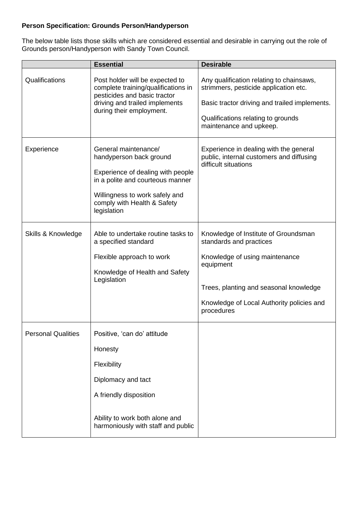#### **Person Specification: Grounds Person/Handyperson**

The below table lists those skills which are considered essential and desirable in carrying out the role of Grounds person/Handyperson with Sandy Town Council.

|                           | <b>Essential</b>                                                                                                                                                                                         | <b>Desirable</b>                                                                                                                                                                                                    |
|---------------------------|----------------------------------------------------------------------------------------------------------------------------------------------------------------------------------------------------------|---------------------------------------------------------------------------------------------------------------------------------------------------------------------------------------------------------------------|
| Qualifications            | Post holder will be expected to<br>complete training/qualifications in<br>pesticides and basic tractor<br>driving and trailed implements<br>during their employment.                                     | Any qualification relating to chainsaws,<br>strimmers, pesticide application etc.<br>Basic tractor driving and trailed implements.<br>Qualifications relating to grounds<br>maintenance and upkeep.                 |
| Experience                | General maintenance/<br>handyperson back ground<br>Experience of dealing with people<br>in a polite and courteous manner<br>Willingness to work safely and<br>comply with Health & Safety<br>legislation | Experience in dealing with the general<br>public, internal customers and diffusing<br>difficult situations                                                                                                          |
| Skills & Knowledge        | Able to undertake routine tasks to<br>a specified standard<br>Flexible approach to work<br>Knowledge of Health and Safety<br>Legislation                                                                 | Knowledge of Institute of Groundsman<br>standards and practices<br>Knowledge of using maintenance<br>equipment<br>Trees, planting and seasonal knowledge<br>Knowledge of Local Authority policies and<br>procedures |
| <b>Personal Qualities</b> | Positive, 'can do' attitude<br>Honesty<br>Flexibility<br>Diplomacy and tact<br>A friendly disposition<br>Ability to work both alone and<br>harmoniously with staff and public                            |                                                                                                                                                                                                                     |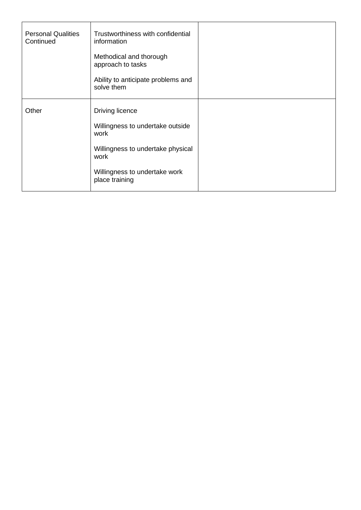| <b>Personal Qualities</b><br>Continued | Trustworthiness with confidential<br>information |  |
|----------------------------------------|--------------------------------------------------|--|
|                                        | Methodical and thorough<br>approach to tasks     |  |
|                                        | Ability to anticipate problems and<br>solve them |  |
| Other                                  | Driving licence                                  |  |
|                                        | Willingness to undertake outside<br>work         |  |
|                                        | Willingness to undertake physical<br>work        |  |
|                                        | Willingness to undertake work<br>place training  |  |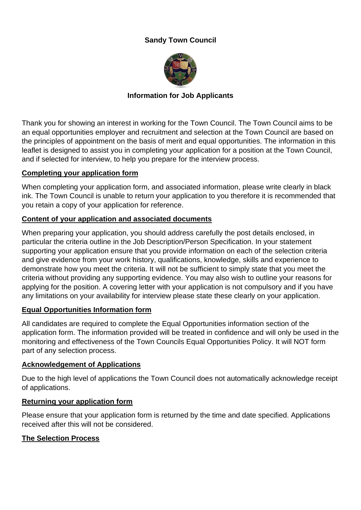# **Sandy Town Council**



# **Information for Job Applicants**

Thank you for showing an interest in working for the Town Council. The Town Council aims to be an equal opportunities employer and recruitment and selection at the Town Council are based on the principles of appointment on the basis of merit and equal opportunities. The information in this leaflet is designed to assist you in completing your application for a position at the Town Council, and if selected for interview, to help you prepare for the interview process.

#### **Completing your application form**

When completing your application form, and associated information, please write clearly in black ink. The Town Council is unable to return your application to you therefore it is recommended that you retain a copy of your application for reference.

# **Content of your application and associated documents**

When preparing your application, you should address carefully the post details enclosed, in particular the criteria outline in the Job Description/Person Specification. In your statement supporting your application ensure that you provide information on each of the selection criteria and give evidence from your work history, qualifications, knowledge, skills and experience to demonstrate how you meet the criteria. It will not be sufficient to simply state that you meet the criteria without providing any supporting evidence. You may also wish to outline your reasons for applying for the position. A covering letter with your application is not compulsory and if you have any limitations on your availability for interview please state these clearly on your application.

# **Equal Opportunities Information form**

All candidates are required to complete the Equal Opportunities information section of the application form. The information provided will be treated in confidence and will only be used in the monitoring and effectiveness of the Town Councils Equal Opportunities Policy. It will NOT form part of any selection process.

# **Acknowledgement of Applications**

Due to the high level of applications the Town Council does not automatically acknowledge receipt of applications.

# **Returning your application form**

Please ensure that your application form is returned by the time and date specified. Applications received after this will not be considered.

# **The Selection Process**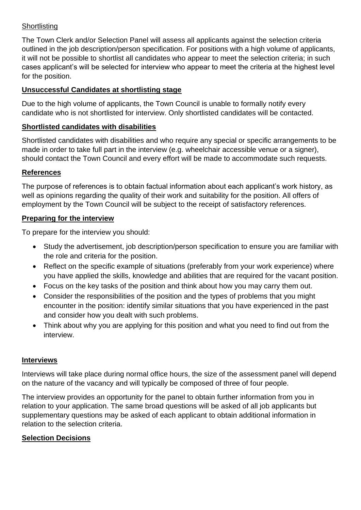# **Shortlisting**

The Town Clerk and/or Selection Panel will assess all applicants against the selection criteria outlined in the job description/person specification. For positions with a high volume of applicants, it will not be possible to shortlist all candidates who appear to meet the selection criteria; in such cases applicant's will be selected for interview who appear to meet the criteria at the highest level for the position.

# **Unsuccessful Candidates at shortlisting stage**

Due to the high volume of applicants, the Town Council is unable to formally notify every candidate who is not shortlisted for interview. Only shortlisted candidates will be contacted.

# **Shortlisted candidates with disabilities**

Shortlisted candidates with disabilities and who require any special or specific arrangements to be made in order to take full part in the interview (e.g. wheelchair accessible venue or a signer), should contact the Town Council and every effort will be made to accommodate such requests.

# **References**

The purpose of references is to obtain factual information about each applicant's work history, as well as opinions regarding the quality of their work and suitability for the position. All offers of employment by the Town Council will be subject to the receipt of satisfactory references.

# **Preparing for the interview**

To prepare for the interview you should:

- Study the advertisement, job description/person specification to ensure you are familiar with the role and criteria for the position.
- Reflect on the specific example of situations (preferably from your work experience) where you have applied the skills, knowledge and abilities that are required for the vacant position.
- Focus on the key tasks of the position and think about how you may carry them out.
- Consider the responsibilities of the position and the types of problems that you might encounter in the position: identify similar situations that you have experienced in the past and consider how you dealt with such problems.
- Think about why you are applying for this position and what you need to find out from the interview.

# **Interviews**

Interviews will take place during normal office hours, the size of the assessment panel will depend on the nature of the vacancy and will typically be composed of three of four people.

The interview provides an opportunity for the panel to obtain further information from you in relation to your application. The same broad questions will be asked of all job applicants but supplementary questions may be asked of each applicant to obtain additional information in relation to the selection criteria.

# **Selection Decisions**